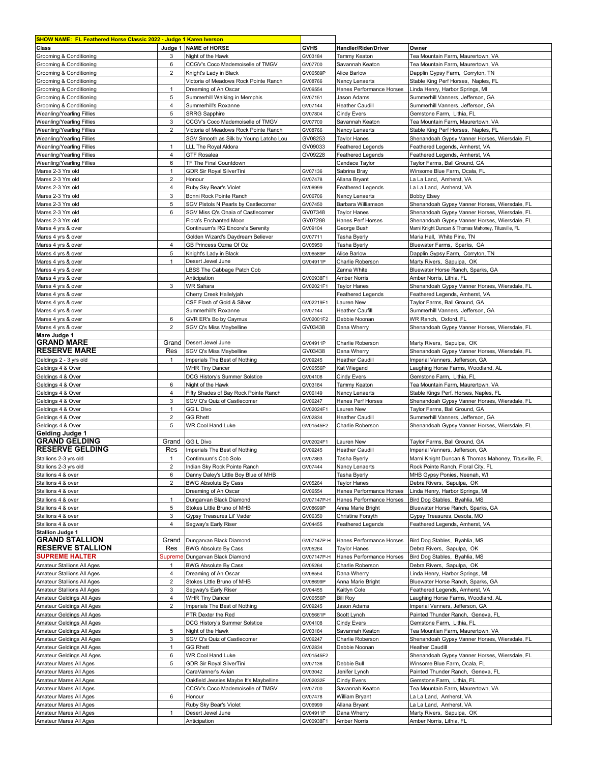| <b>SHOW NAME: FL Feathered Horse Classic 2022 - Judge 1 Karen Iverson</b> |                                |                                                   |                     |                                           |                                                                                                |
|---------------------------------------------------------------------------|--------------------------------|---------------------------------------------------|---------------------|-------------------------------------------|------------------------------------------------------------------------------------------------|
| Class                                                                     |                                | Judge 1 NAME of HORSE                             | <b>GVHS</b>         | Handler/Rider/Driver                      | Owner                                                                                          |
| Grooming & Conditioning                                                   | 3                              | Night of the Hawk                                 | GV03184             | Tammy Keaton                              | Tea Mountain Farm, Maurertown, VA                                                              |
| Grooming & Conditioning                                                   | 6                              | CCGV's Coco Mademoiselle of TMGV                  | GV07700             | Savannah Keaton                           | Tea Mountain Farm, Maurertown, VA                                                              |
| Grooming & Conditioning                                                   | 2                              | Knight's Lady in Black                            | GV06589F            | <b>Alice Barlow</b>                       | Dapplin Gypsy Farm, Corryton, TN                                                               |
| Grooming & Conditioning                                                   |                                | Victoria of Meadows Rock Pointe Ranch             | GV08766             | Nancy Lenaerts                            | Stable King Perf Horses, Naples, FL                                                            |
| Grooming & Conditioning                                                   | $\mathbf{1}$                   | Dreaming of An Oscar                              | GV06554             | Hanes Performance Horses                  | Linda Henry, Harbor Springs, MI                                                                |
| Grooming & Conditioning                                                   | 5                              | Summerhill Walking in Memphis                     | GV07151             | Jason Adams                               | Summerhill Vanners, Jefferson, GA                                                              |
| Grooming & Conditioning                                                   | 4                              | Summerhill's Roxanne                              | GV07144             | <b>Heather Caudill</b>                    | Summerhill Vanners, Jefferson, GA                                                              |
| <b>Weanling/Yearling Fillies</b>                                          | 5                              | <b>SRRG Sapphire</b>                              | GV07804             | Cindy Evers                               | Gemstone Farm, Lithia, FL                                                                      |
| <b>Weanling/Yearling Fillies</b>                                          | 3                              | CCGV's Coco Mademoiselle of TMGV                  | GV07700             | Savannah Keaton                           | Tea Mountain Farm, Maurertown, VA                                                              |
| <b>Weanling/Yearling Fillies</b>                                          | $\overline{2}$                 | Victoria of Meadows Rock Pointe Ranch             | GV08766             | Nancy Lenaerts                            | Stable King Perf Horses, Naples, FL                                                            |
| <b>Weanling/Yearling Fillies</b>                                          |                                | SGV Smooth as Silk by Young Latcho Lou            | GV08253             | Taylor Hanes                              | Shenandoah Gypsy Vanner Horses, Wiersdale, FL                                                  |
| Weanling/Yearling Fillies                                                 | $\mathbf{1}$                   | LLL The Royal Aldora                              | GV09033             | <b>Feathered Legends</b>                  | Feathered Legends, Amherst, VA                                                                 |
| <b>Weanling/Yearling Fillies</b>                                          | 4                              | <b>GTF Rosalea</b>                                | GV09228             | <b>Feathered Legends</b>                  | Feathered Legends, Amherst, VA                                                                 |
| <b>Weanling/Yearling Fillies</b>                                          | 6                              | TF The Final Countdown                            |                     | Candace Taylor                            | Taylor Farms, Ball Ground, GA                                                                  |
| Mares 2-3 Yrs old                                                         | $\mathbf{1}$<br>$\overline{2}$ | <b>GDR Sir Royal SilverTini</b>                   | GV07136             | Sabrina Bray                              | Winsome Blue Farm, Ocala, FL                                                                   |
| Mares 2-3 Yrs old<br>Mares 2-3 Yrs old                                    | $\overline{4}$                 | Honour                                            | GV07478             | Allana Bryant<br><b>Feathered Legends</b> | La La Land, Amherst, VA<br>La La Land, Amherst, VA                                             |
| Mares 2-3 Yrs old                                                         | 3                              | Ruby Sky Bear's Violet<br>Bonni Rock Pointe Ranch | GV06999<br>GV06706  | Nancy Lenaerts                            | <b>Bobby Elsey</b>                                                                             |
| Mares 2-3 Yrs old                                                         | 5                              | SGV Pistols N Pearls by Castlecomer               | GV07450             | Barbara Williamson                        |                                                                                                |
| Mares 2-3 Yrs old                                                         | 6                              | SGV Miss Q's Onaia of Castlecomer                 | GV07348             | <b>Taylor Hanes</b>                       | Shenandoah Gypsy Vanner Horses, Wiersdale, FL<br>Shenandoah Gypsy Vanner Horses, Wiersdale, FL |
| Mares 2-3 Yrs old                                                         |                                | Flora's Enchanted Moon                            | GV07288             | Hanes Perf Horses                         | Shenandoah Gypsy Vanner Horses, Wiersdale, FL                                                  |
| Mares 4 yrs & over                                                        |                                | Continuum's RG Encore's Serenity                  | GV09104             | George Bush                               | Marni Knight Duncan & Thomas Mahoney, Titusville, FL                                           |
| Mares 4 yrs & over                                                        |                                | Golden Wizard's Daydream Believer                 | GV07711             | Tasha Byerly                              | Maria Hall, White Pine, TN                                                                     |
| Mares 4 yrs & over                                                        | $\overline{4}$                 | GB Princess Ozma Of Oz                            | GV05950             | Tasha Byerly                              | Bluewater Farms, Sparks, GA                                                                    |
| Mares 4 yrs & over                                                        | 5                              | Knight's Lady in Black                            | GV06589P            | Alice Barlow                              | Dapplin Gypsy Farm, Corryton, TN                                                               |
| Mares 4 yrs & over                                                        | 1                              | Desert Jewel June                                 | GV04911P            | Charlie Roberson                          | Marty Rivers, Sapulpa, OK                                                                      |
| Mares 4 yrs & over                                                        |                                | LBSS The Cabbage Patch Cob                        |                     | Zanna White                               | Bluewater Horse Ranch, Sparks, GA                                                              |
| Mares 4 yrs & over                                                        |                                | Anticipation                                      | GV00938F1           | Amber Norris                              | Amber Norris, Lithia, FL                                                                       |
| Mares 4 yrs & over                                                        | 3                              | WR Sahara                                         | GV02021F1           | Taylor Hanes                              | Shenandoah Gypsy Vanner Horses, Wiersdale, FL                                                  |
| Mares 4 yrs & over                                                        |                                | Cherry Creek Hallelyjah                           |                     | <b>Feathered Legends</b>                  | Feathered Legends, Amherst, VA                                                                 |
| Mares 4 yrs & over                                                        |                                | CSF Flash of Gold & Silver                        | GV02219F1           | Lauren New                                | Taylor Farms, Ball Ground, GA                                                                  |
| Mares 4 yrs & over                                                        |                                | Summerhill's Roxanne                              | GV07144             | <b>Heather Caufill</b>                    | Summerhill Vanners, Jefferson, GA                                                              |
| Mares 4 yrs & over                                                        | 6                              | GVR ER's Bo by Caymus                             | GV02001F2           | Debbie Noonan                             | WR Ranch, Oxford, FL                                                                           |
| Mares 4 yrs & over                                                        | $\overline{2}$                 | SGV Q's Miss Maybelline                           | GV03438             | Dana Wherry                               | Shenandoah Gypsy Vanner Horses, Wiersdale, FL                                                  |
| Mare Judge 1                                                              |                                |                                                   |                     |                                           |                                                                                                |
| <b>GRAND MARE</b>                                                         | Grand                          | Desert Jewel June                                 | GV04911P            | Charlie Roberson                          | Marty Rivers, Sapulpa, OK                                                                      |
| <b>RESERVE MARE</b>                                                       | Res                            | SGV Q's Miss Maybelline                           | GV03438             | Dana Wherry                               | Shenandoah Gypsy Vanner Horses, Wiersdale, FL                                                  |
| Geldings 2 - 3 yrs old                                                    | -1                             | Imperials The Best of Nothing                     | GV09245             | <b>Heather Caudill</b>                    | Imperial Vanners, Jefferson, GA                                                                |
| Geldings 4 & Over                                                         |                                | <b>WHR Tiny Dancer</b>                            | GV06556P            | Kat Wiegand                               | Laughing Horse Farms, Woodland, AL                                                             |
| Geldings 4 & Over                                                         |                                | DCG History's Summer Solstice                     | GV04108             | <b>Cindy Evers</b>                        | Gemstone Farm, Lithia, FL                                                                      |
| Geldings 4 & Over                                                         | 6                              | Night of the Hawk                                 | GV03184             | Tammy Keaton                              | Tea Mountain Farm, Maurertown, VA                                                              |
| Geldings 4 & Over                                                         | $\overline{4}$                 | Fifty Shades of Bay Rock Pointe Ranch             | GV06149             | Nancy Lenaerts                            | Stable Kings Perf. Horses, Naples, FL                                                          |
| Geldings 4 & Over                                                         | 3                              | SGV Q's Quiz of Castlecomer                       | GV06247             | Hanes Perf Horses                         | Shenandoah Gypsy Vanner Horses, Wiersdale, FL                                                  |
| Geldings 4 & Over                                                         | $\mathbf{1}$                   | GG L Divo                                         | GV02024F1           | Lauren New                                | Taylor Farms, Ball Ground, GA                                                                  |
| Geldings 4 & Over                                                         | 2                              | <b>GG Rhett</b>                                   | GV02834             | <b>Heather Caudill</b>                    | Summerhill Vanners, Jefferson, GA                                                              |
| Geldings 4 & Over                                                         | 5                              | <b>WR Cool Hand Luke</b>                          | GV01545F2           | Charlie Roberson                          | Shenandoah Gypsy Vanner Horses, Wiersdale, FL                                                  |
| <b>Gelding Judge 1</b>                                                    |                                |                                                   |                     |                                           |                                                                                                |
| <b> GRAND GELDING</b>                                                     | Grand                          | <b>GG L Divo</b>                                  | GV02024F1           | Lauren New                                | Taylor Farms, Ball Ground, GA                                                                  |
| <b>RESERVE GELDING</b>                                                    | Res                            | Imperials The Best of Nothing                     | GV09245             | <b>Heather Caudill</b>                    | Imperial Vanners, Jefferson, GA                                                                |
| Stallions 2-3 yrs old                                                     | 1                              | Contimuum's Cob Solo                              | GV07863             | Tasha Byerly                              | Marni Knight Duncan & Thomas Mahoney, Titusville, FL                                           |
| Stallions 2-3 vrs old                                                     | $\overline{2}$                 | Indian Sky Rock Pointe Ranch                      | GV07444             | Nancy Lenaerts                            | Rock Pointe Ranch, Floral City, FL                                                             |
| Stallions 4 & over                                                        | 6                              | Danny Daley's Little Boy Blue of MHB              |                     | Tasha Byerly                              | MHB Gypsy Ponies, Neenah, WI                                                                   |
| Stallions 4 & over                                                        | $\overline{2}$                 | <b>BWG Absolute By Cass</b>                       | GV05264             | Taylor Hanes                              | Debra Rivers, Sapulpa, OK                                                                      |
| Stallions 4 & over                                                        |                                | Dreaming of An Oscar                              | GV06554             | Hanes Performance Horses                  | Linda Henry, Harbor Springs, MI                                                                |
| Stallions 4 & over                                                        | 1                              | Dungarvan Black Diamond                           | GV07147P-H          | Hanes Performance Horses                  | Bird Dog Stables, Byahlia, MS                                                                  |
| Stallions 4 & over                                                        | 5                              | Stokes Little Bruno of MHB                        | GV08699P            | Anna Marie Bright                         | Bluewater Horse Ranch, Sparks, GA                                                              |
| Stallions 4 & over                                                        | 3                              | Gypsy Treasures Lil' Vader                        | GV06350             | Christine Forsyth                         | Gypsy Treasures, Desota, MO                                                                    |
| Stallions 4 & over                                                        | 4                              | Segway's Early Riser                              | GV04455             | <b>Feathered Legends</b>                  | Feathered Legends, Amherst, VA                                                                 |
| <b>Stallion Judge 1</b>                                                   |                                |                                                   |                     |                                           |                                                                                                |
| <b>GRAND STALLION</b>                                                     | Grand                          | Dungarvan Black Diamond                           | GV07147P-H          | Hanes Performance Horses                  | Bird Dog Stables, Byahlia, MS                                                                  |
| <b>RESERVE STALLION</b>                                                   | Res                            | <b>BWG Absolute By Cass</b>                       | GV05264             | <b>Taylor Hanes</b>                       | Debra Rivers, Sapulpa, OK                                                                      |
| <b>SUPREME HALTER</b>                                                     | Suprem∈                        | Dungarvan Black Diamond                           | GV07147P-H          | Hanes Performance Horses                  | Bird Dog Stables, Byahlia, MS                                                                  |
| Amateur Stallions All Ages                                                | 1                              | <b>BWG Absolute By Cass</b>                       | GV05264             | Charlie Roberson                          | Debra Rivers, Sapulpa, OK                                                                      |
| Amateur Stallions All Ages                                                | 4                              | Dreaming of An Oscar                              | GV06554             | Dana Wherry                               | Linda Henry, Harbor Springs, MI                                                                |
| Amateur Stallions All Ages                                                | 2                              | Stokes Little Bruno of MHB                        | GV08699P            | Anna Marie Bright                         | Bluewater Horse Ranch, Sparks, GA                                                              |
| Amateur Stallions All Ages                                                | 3                              | Segway's Early Riser                              | GV04455             | Kaitlyn Cole                              | Feathered Legends, Amherst, VA                                                                 |
| Amateur Geldings All Ages                                                 | 4                              | <b>WHR Tiny Dancer</b>                            | GV06556P            | <b>Bill Roy</b>                           | Laughing Horse Farms, Woodland, AL                                                             |
| Amateur Geldings All Ages                                                 | 2                              | Imperials The Best of Nothing                     | GV09245             | Jason Adams                               | Imperial Vanners, Jefferson, GA                                                                |
| Amateur Geldings All Ages                                                 |                                | PTR Dexter the Red                                | GV05661P            | Scott Lynch                               | Painted Thunder Ranch, Geneva, FL                                                              |
| Amateur Geldings All Ages                                                 |                                | DCG History's Summer Solstice                     | GV04108             | <b>Cindy Evers</b>                        | Gemstone Farm, Lithia, FL                                                                      |
| Amateur Geldings All Ages                                                 | 5                              | Night of the Hawk                                 | GV03184             | Savannah Keaton                           | Tea Mountian Farm, Maurertown, VA                                                              |
| Amateur Geldings All Ages                                                 | 3<br>$\mathbf{1}$              | SGV Q's Quiz of Castlecomer<br><b>GG Rhett</b>    | GV06247             | Charlie Roberson                          | Shenandoah Gypsy Vanner Horses, Wiersdale, FL                                                  |
| Amateur Geldings All Ages                                                 | 6                              |                                                   | GV02834             | Debbie Noonan                             | <b>Heather Caudill</b>                                                                         |
| Amateur Geldings All Ages                                                 |                                | <b>WR Cool Hand Luke</b>                          | GV01545F2           |                                           | Shenandoah Gypsy Vanner Horses, Wiersdale, FL                                                  |
| Amateur Mares All Ages                                                    | 5                              | GDR Sir Royal SilverTini<br>CaraVanner's Avian    | GV07136             | Debbie Bull                               | Winsome Blue Farm, Ocala, FL<br>Painted Thunder Ranch, Geneva, FL                              |
| Amateur Mares All Ages<br>Amateur Mares All Ages                          |                                | Oakfield Jessies Maybe It's Maybelline            | GV03042<br>GV02032F | Jenifer Lynch<br>Cindy Evers              | Gemstone Farm, Lithia, FL                                                                      |
| Amateur Mares All Ages                                                    |                                | CCGV's Coco Mademoiselle of TMGV                  | GV07700             | Savannah Keaton                           | Tea Mountain Farm, Maurertown, VA                                                              |
| Amateur Mares All Ages                                                    | 6                              | Honour                                            | GV07478             | William Bryant                            | La La Land, Amherst, VA                                                                        |
| Amateur Mares All Ages                                                    |                                | Ruby Sky Bear's Violet                            | GV06999             | Allana Bryant                             | La La Land, Amherst, VA                                                                        |
| Amateur Mares All Ages                                                    | $\mathbf{1}$                   | Desert Jewel June                                 | GV04911P            | Dana Wherry                               | Marty Rivers, Sapulpa, OK                                                                      |
| Amateur Mares All Ages                                                    |                                | Anticipation                                      | GV00938F1           | <b>Amber Norris</b>                       | Amber Norris, Lithia, FL                                                                       |
|                                                                           |                                |                                                   |                     |                                           |                                                                                                |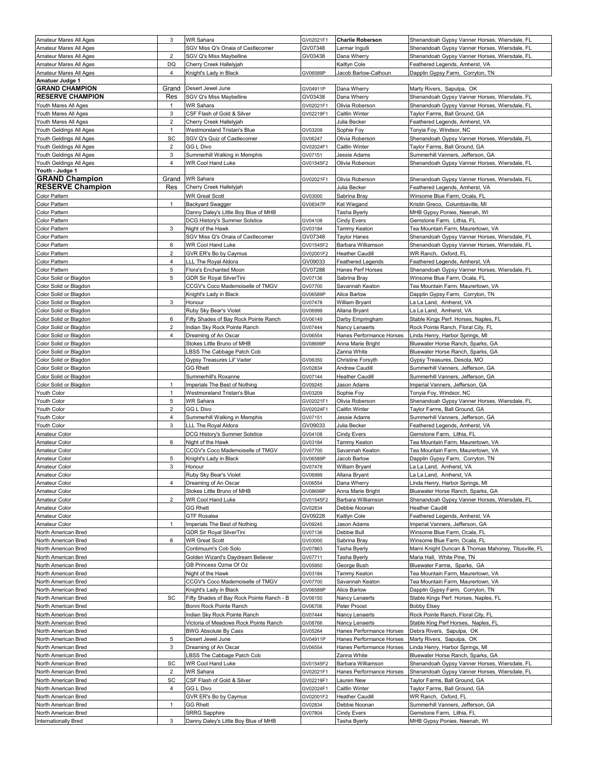| Amateur Mares All Ages  | 3              | <b>WR Sahara</b>                          | GV02021F1 | <b>Charlie Roberson</b>  | Shenandoah Gypsy Vanner Horses, Wiersdale, FL        |
|-------------------------|----------------|-------------------------------------------|-----------|--------------------------|------------------------------------------------------|
| Amateur Mares All Ages  |                | SGV Miss Q's Onaia of Castlecomer         | GV07348   | Larmar Ingulli           | Shenandoah Gypsy Vanner Horses, Wiersdale, FL        |
| Amateur Mares All Ages  | 2              | SGV Q's Miss Maybelline                   | GV03438   | Dana Wherry              | Shenandoah Gypsy Vanner Horses, Wiersdale, FL        |
| Amateur Mares All Ages  | DQ             | Cherry Creek Hallelyjah                   |           | Kaitlyn Cole             | Feathered Legends, Amherst, VA                       |
| Amateur Mares All Ages  | 4              | Knight's Lady in Black                    | GV06589P  | Jacob Barlow-Calhoun     | Dapplin Gypsy Farm, Corryton, TN                     |
| Amatuer Judge 1         |                |                                           |           |                          |                                                      |
| <b>GRAND CHAMPION</b>   | Grand          | Desert Jewel June                         | GV04911P  | Dana Wherry              | Marty Rivers, Sapulpa, OK                            |
| <b>RESERVE CHAMPION</b> | Res            | SGV Q's Miss Maybelline                   | GV03438   | Dana Wherry              | Shenandoah Gypsy Vanner Horses, Wiersdale, FL        |
| Youth Mares All Ages    | -1             | WR Sahara                                 | GV02021F1 | Olivia Roberson          | Shenandoah Gypsy Vanner Horses, Wiersdale, FL        |
| Youth Mares All Ages    | 3              | CSF Flash of Gold & Silver                | GV02219F1 | Caitlin Winter           | Taylor Farms, Ball Ground, GA                        |
| Youth Mares All Ages    | $\overline{2}$ | Cherry Creek Hallelyjah                   |           | Julia Becker             | Feathered Legends, Amherst, VA                       |
| Youth Geldings All Ages | $\mathbf{1}$   | Westmoreland Tristan's Blue               | GV03209   | Sophie Foy               | Tonyia Foy, Windsor, NC                              |
| Youth Geldings All Ages | SC             | SGV Q's Quiz of Castlecomer               | GV06247   | Olivia Roberson          | Shenandoah Gypsy Vanner Horses, Wiersdale, FL        |
| Youth Geldings All Ages | 2              | GG L Divo                                 | GV02024F1 | Caitlin Winter           | Taylor Farms, Ball Ground, GA                        |
| Youth Geldings All Ages | 3              | Summerhill Walking in Memphis             | GV07151   | Jessie Adams             | Summerhill Vanners, Jefferson, GA                    |
| Youth Geldings All Ages | 4              | WR Cool Hand Luke                         | GV01545F2 | Olivia Roberson          | Shenandoah Gypsy Vanner Horses, Wiersdale, FL        |
| Youth - Judge 1         |                |                                           |           |                          |                                                      |
| <b>GRAND Champion</b>   | Grand          | <b>WR Sahara</b>                          | GV02021F1 | Olivia Roberson          | Shenandoah Gypsy Vanner Horses, Wiersdale, FL        |
| <b>RESERVE Champion</b> | Res            | Cherry Creek Hallelyjah                   |           | Julia Becker             | Feathered Legends, Amherst, VA                       |
| Color Pattern           |                | <b>WR Great Scott</b>                     | GV03000   | Sabrina Bray             | Winsome Blue Farm, Ocala, FL                         |
| Color Pattern           | $\mathbf{1}$   | <b>Backyard Swagger</b>                   | GV08347P  | Kat Wiegand              | Kristin Greco, Columbiaville, MI                     |
| Color Pattern           |                | Danny Daley's Little Boy Blue of MHB      |           | Tasha Byerly             | MHB Gypsy Ponies, Neenah, WI                         |
| Color Pattern           |                | DCG History's Summer Solstice             | GV04108   | <b>Cindy Evers</b>       | Gemstone Farm, Lithia, FL                            |
| Color Pattern           | 3              | Night of the Hawk                         | GV03184   | Tammy Keaton             | Tea Mountain Farm, Maurertown, VA                    |
| Color Pattern           |                | SGV Miss Q's Onaia of Castlecomer         | GV07348   | <b>Taylor Hanes</b>      | Shenandoah Gypsy Vanner Horses, Wiersdale, FL        |
| Color Pattern           | 6              | WR Cool Hand Luke                         | GV01545F2 | Barbara Williamson       | Shenandoah Gypsy Vanner Horses, Wiersdale, FL        |
| Color Pattern           | 2              | GVR ER's Bo by Caymus                     | GV02001F2 | <b>Heather Caudill</b>   | WR Ranch, Oxford, FL                                 |
| Color Pattern           | 4              | LLL The Royal Aldora                      | GV09033   | <b>Feathered Legends</b> | Feathered Legends, Amherst, VA                       |
| Color Pattern           | 5              | Flora's Enchanted Moon                    | GV07288   | Hanes Perf Horses        | Shenandoah Gypsy Vanner Horses, Wiersdale, FL        |
| Color Solid or Blagdon  | 5              | GDR Sir Royal SilverTini                  | GV07136   | Sabrina Bray             | Winsome Blue Farm, Ocala, FL                         |
| Color Solid or Blagdon  |                | CCGV's Coco Mademoiselle of TMGV          | GV07700   | Savannah Keaton          | Tea Mountain Farm, Maurertown, VA                    |
| Color Solid or Blagdon  |                | Knight's Lady in Black                    | GV06589P  | <b>Alice Barlow</b>      | Dapplin Gypsy Farm, Corryton, TN                     |
| Color Solid or Blagdon  | 3              | Honour                                    | GV07478   | <b>William Bryant</b>    | La La Land, Amherst, VA                              |
| Color Solid or Blagdon  |                | Ruby Sky Bear's Violet                    | GV06999   | Allana Bryant            | La La Land,  Amherst, VA                             |
| Color Solid or Blagdon  | 6              | Fifty Shades of Bay Rock Pointe Ranch     | GV06149   | Darby Empringham         | Stable Kings Perf. Horses, Naples, FL                |
| Color Solid or Blagdon  | $\overline{2}$ | Indian Sky Rock Pointe Ranch              | GV07444   | Nancy Lenaerts           | Rock Pointe Ranch, Floral City, FL                   |
| Color Solid or Blagdon  | $\overline{4}$ | Dreaming of An Oscar                      | GV06554   | Hanes Performance Horses | Linda Henry, Harbor Springs, MI                      |
| Color Solid or Blagdon  |                | Stokes Little Bruno of MHB                | GV08699P  | Anna Marie Bright        | Bluewater Horse Ranch, Sparks, GA                    |
| Color Solid or Blagdon  |                | LBSS The Cabbage Patch Cob                |           | Zanna White              | Bluewater Horse Ranch, Sparks, GA                    |
| Color Solid or Blagdon  |                | Gypsy Treasures Lil' Vader                | GV06350   | Christine Forsyth        | Gypsy Treasures, Desota, MO                          |
| Color Solid or Blagdon  |                | <b>GG Rhett</b>                           | GV02834   | Andrew Caudill           | Summerhill Vanners, Jefferson, GA                    |
|                         |                |                                           |           |                          |                                                      |
| Color Solid or Blagdon  |                | Summerhill's Roxanne                      | GV07144   | <b>Heather Caudill</b>   | Summerhill Vanners, Jefferson, GA                    |
| Color Solid or Blagdon  | 1              | Imperials The Best of Nothing             | GV09245   | Jason Adams              | Imperial Vanners, Jefferson, GA                      |
| Youth Color             | $\mathbf{1}$   | Westmoreland Tristan's Blue               | GV03209   | Sophie Foy               | Tonyia Foy, Windsor, NC                              |
| Youth Color             | 5              | WR Sahara                                 | GV02021F1 | Olivia Roberson          | Shenandoah Gypsy Vanner Horses, Wiersdale, FL        |
| Youth Color             | 2              | GG L Divo                                 | GV02024F1 | Caitlin Winter           | Taylor Farms, Ball Ground, GA                        |
| Youth Color             | 4              | Summerhill Walking in Memphis             | GV07151   | Jessie Adams             | Summerhill Vanners, Jefferson, GA                    |
| Youth Color             | 3              | LLL The Royal Aldora                      | GV09033   | Julia Becker             | Feathered Legends, Amherst, VA                       |
| Amateur Color           |                | DCG History's Summer Solstice             | GV04108   | <b>Cindy Evers</b>       | Gemstone Farm, Lithia, FL                            |
| Amateur Color           | 6              | Night of the Hawk                         | GV03184   | Tammy Keaton             | Tea Mountain Farm, Maurertown, VA                    |
| Amateur Color           |                | CCGV's Coco Mademoiselle of TMGV          | GV07700   | Savannah Keaton          | Tea Mountain Farm, Maurertown, VA                    |
| Amateur Color           | 5              | Knight's Lady in Black                    | GV06589F  | Jacob Barlow             | Dapplin Gypsy Farm, Corryton, TN                     |
| Amateur Color           |                | Honour                                    | GV07478   | William Bryant           | La La Land, Amherst, VA                              |
| Amateur Color           |                | Ruby Sky Bear's Violet                    | GV06999   | Allana Bryant            | La La Land, Amherst, VA                              |
| Amateur Color           | $\overline{4}$ | Dreaming of An Oscar                      | GV06554   | Dana Wherry              | Linda Henry, Harbor Springs, MI                      |
| Amateur Color           |                | Stokes Little Bruno of MHB                | GV08699P  | Anna Marie Bright        | Bluewater Horse Ranch, Sparks, GA                    |
| Amateur Color           | 2              | <b>WR Cool Hand Luke</b>                  | GV01545F2 | Barbara Williamson       | Shenandoah Gypsy Vanner Horses, Wiersdale, FL        |
| Amateur Color           |                | <b>GG Rhett</b>                           | GV02834   | Debbie Noonan            | <b>Heather Caudill</b>                               |
| Amateur Color           |                | <b>GTF Rosalea</b>                        | GV09228   | Kaitlyn Cole             | Feathered Legends, Amherst, VA                       |
| Amateur Color           | -1             | Imperials The Best of Nothing             | GV09245   | Jason Adams              | Imperial Vanners, Jefferson, GA                      |
| North American Bred     |                | GDR Sir Royal SilverTini                  | GV07136   | Debbie Bull              | Winsome Blue Farm, Ocala, FL                         |
| North American Bred     | 6              | <b>WR Great Scott</b>                     | GV03000   | Sabrina Bray             | Winsome Blue Farm, Ocala, FL                         |
| North American Bred     |                | Contimuum's Cob Solo                      | GV07863   | <b>Tasha Byerly</b>      | Marni Knight Duncan & Thomas Mahoney, Titusville, FL |
| North American Bred     |                | Golden Wizard's Daydream Believer         | GV07711   | Tasha Byerly             | Maria Hall, White Pine, TN                           |
| North American Bred     |                | GB Princess Ozma Of Oz                    | GV05950   | George Bush              | Bluewater Farms, Sparks, GA                          |
| North American Bred     |                | Night of the Hawk                         | GV03184   | Tammy Keaton             | Tea Mountain Farm, Maurertown, VA                    |
| North American Bred     |                | CCGV's Coco Mademoiselle of TMGV          | GV07700   | Savannah Keaton          | Tea Mountain Farm, Maurertown, VA                    |
| North American Bred     |                | Knight's Lady in Black                    | GV06589P  | Alice Barlow             | Dapplin Gypsy Farm, Corryton, TN                     |
| North American Bred     | SC             | Fifty Shades of Bay Rock Pointe Ranch - B | GV06150   | Nancy Lenaerts           | Stable Kings Perf. Horses, Naples, FL                |
| North American Bred     |                | Bonni Rock Pointe Ranch                   | GV06706   | Peter Proost             | <b>Bobby Elsey</b>                                   |
| North American Bred     |                | Indian Sky Rock Pointe Ranch              | GV07444   | Nancy Lenaerts           | Rock Pointe Ranch, Floral City, FL                   |
| North American Bred     |                | Victoria of Meadows Rock Pointe Ranch     | GV08766   | Nancy Lenaerts           | Stable King Perf Horses, Naples, FL                  |
| North American Bred     |                | <b>BWG Absolute By Cass</b>               | GV05264   | Hanes Performance Horses | Debra Rivers, Sapulpa, OK                            |
| North American Bred     | 5              | Desert Jewel June                         | GV04911P  | Hanes Performance Horses | Marty Rivers, Sapulpa, OK                            |
| North American Bred     | 3              | Dreaming of An Oscar                      | GV06554   | Hanes Performance Horses | Linda Henry, Harbor Springs, MI                      |
| North American Bred     |                | LBSS The Cabbage Patch Cob                |           | Zanna White              | Bluewater Horse Ranch, Sparks, GA                    |
| North American Bred     | SC             | WR Cool Hand Luke                         | GV01545F2 | Barbara Williamson       | Shenandoah Gypsy Vanner Horses, Wiersdale, FL        |
| North American Bred     | 2              | WR Sahara                                 | GV02021F1 | Hanes Performance Horses | Shenandoah Gypsy Vanner Horses, Wiersdale, FL        |
| North American Bred     | SC             | CSF Flash of Gold & Silver                | GV02219F1 | Lauren New               | Taylor Farms, Ball Ground, GA                        |
| North American Bred     | 4              | GG L Divo                                 | GV02024F1 | Caitlin Winter           | Taylor Farms, Ball Ground, GA                        |
| North American Bred     |                | GVR ER's Bo by Caymus                     | GV02001F2 | <b>Heather Caudill</b>   | WR Ranch, Oxford, FL                                 |
| North American Bred     | 1              | <b>GG Rhett</b>                           | GV02834   | Debbie Noonan            | Summerhill Vanners, Jefferson, GA                    |
| North American Bred     |                | <b>SRRG Sapphire</b>                      | GV07804   | <b>Cindy Evers</b>       | Gemstone Farm, Lithia, FL                            |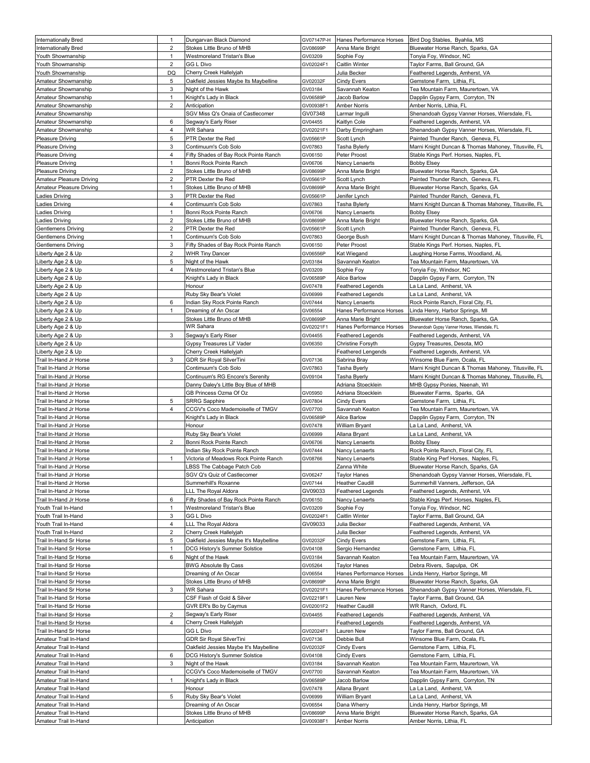| <b>Internationally Bred</b>                        | $\mathbf{1}$      | Dungarvan Black Diamond                                              |                       | GV07147P-H Hanes Performance Horses           | Bird Dog Stables, Byahlia, MS                                                             |
|----------------------------------------------------|-------------------|----------------------------------------------------------------------|-----------------------|-----------------------------------------------|-------------------------------------------------------------------------------------------|
| <b>Internationally Bred</b>                        | 2                 | Stokes Little Bruno of MHB                                           | GV08699P              | Anna Marie Bright                             | Bluewater Horse Ranch, Sparks, GA                                                         |
| Youth Showmanship                                  | $\mathbf{1}$      | <b>Westmoreland Tristan's Blue</b>                                   | GV03209               | Sophie Foy                                    | Tonyia Foy, Windsor, NC                                                                   |
| Youth Showmanship                                  | 2                 | GG L Divo                                                            | GV02024F1             | <b>Caitlin Winter</b>                         | Taylor Farms, Ball Ground, GA                                                             |
| Youth Showmanship                                  | DQ                | Cherry Creek Hallelyjah                                              |                       | Julia Becker                                  | Feathered Legends, Amherst, VA                                                            |
| Amateur Showmanship                                | 5                 | Oakfield Jessies Maybe Its Maybelline                                | GV02032F              | <b>Cindy Evers</b>                            | Gemstone Farm, Lithia, FL                                                                 |
| Amateur Showmanship                                | 3                 | Night of the Hawk                                                    | GV03184               | Savannah Keaton                               | Tea Mountain Farm, Maurertown, VA                                                         |
| Amateur Showmanship                                | $\mathbf{1}$      | Knight's Lady in Black                                               | GV06589P              | Jacob Barlow                                  | Dapplin Gypsy Farm, Corryton, TN                                                          |
| Amateur Showmanship                                | 2                 | Anticipation                                                         | GV00938F1             | <b>Amber Norris</b>                           | Amber Norris, Lithia, FL                                                                  |
| Amateur Showmanship                                |                   | SGV Miss Q's Onaia of Castlecomer                                    | GV07348               | Larmar Ingulli                                | Shenandoah Gypsy Vanner Horses, Wiersdale, FL                                             |
| Amateur Showmanship                                | 6                 | Segway's Early Riser                                                 | GV04455               | Kaitlyn Cole                                  | Feathered Legends, Amherst, VA                                                            |
| Amateur Showmanship                                | 4                 | WR Sahara                                                            | GV02021F1             | Darby Empringham                              | Shenandoah Gypsy Vanner Horses, Wiersdale, FL                                             |
| <b>Pleasure Driving</b>                            | 5                 | PTR Dexter the Red                                                   | GV05661P              | Scott Lynch                                   | Painted Thunder Ranch, Geneva, FL<br>Marni Knight Duncan & Thomas Mahoney, Titusville, FL |
| <b>Pleasure Driving</b><br><b>Pleasure Driving</b> | 3<br>4            | Contimuum's Cob Solo<br>Fifty Shades of Bay Rock Pointe Ranch        | GV07863<br>GV06150    | Tasha Bylerly<br>Peter Proost                 | Stable Kings Perf. Horses, Naples, FL                                                     |
| <b>Pleasure Driving</b>                            | 1                 | Bonni Rock Pointe Ranch                                              | GV06706               | Nancy Lenaerts                                | <b>Bobby Elsey</b>                                                                        |
| <b>Pleasure Driving</b>                            | 2                 | Stokes Little Bruno of MHB                                           | GV08699P              | Anna Marie Bright                             | Bluewater Horse Ranch, Sparks, GA                                                         |
| Amateur Pleasure Driving                           | 2                 | PTR Dexter the Red                                                   | GV05661P              | Scott Lynch                                   | Painted Thunder Ranch, Geneva, FL                                                         |
| Amateur Pleasure Driving                           | 1                 | Stokes Little Bruno of MHB                                           | GV08699P              | Anna Marie Bright                             | Bluewater Horse Ranch, Sparks, GA                                                         |
| Ladies Driving                                     | 3                 | PTR Dexter the Red                                                   | GV05661P              | Jenifer Lynch                                 | Painted Thunder Ranch, Geneva, FL                                                         |
| Ladies Driving                                     | 4                 | Contimuum's Cob Solo                                                 | GV07863               | <b>Tasha Bylerly</b>                          | Marni Knight Duncan & Thomas Mahoney, Titusville, FL                                      |
| Ladies Driving                                     | $\mathbf{1}$      | Bonni Rock Pointe Ranch                                              | GV06706               | Nancy Lenaerts                                | <b>Bobby Elsey</b>                                                                        |
| Ladies Driving                                     | 2                 | Stokes Little Bruno of MHB                                           | GV08699P              | Anna Marie Bright                             | Bluewater Horse Ranch, Sparks, GA                                                         |
| <b>Gentlemens Driving</b>                          | 2                 | PTR Dexter the Red                                                   | GV05661P              | Scott Lynch                                   | Painted Thunder Ranch, Geneva, FL                                                         |
| <b>Gentlemens Driving</b>                          | $\mathbf{1}$      | Contimuum's Cob Solo                                                 | GV07863               | George Bush                                   | Marni Knight Duncan & Thomas Mahoney, Titusville, FL                                      |
| <b>Gentlemens Driving</b>                          | 3                 | Fifty Shades of Bay Rock Pointe Ranch                                | GV06150               | Peter Proost                                  | Stable Kings Perf. Horses, Naples, FL                                                     |
| Liberty Age 2 & Up                                 | 2                 | <b>WHR Tiny Dancer</b>                                               | GV06556P              | Kat Wiegand                                   | Laughing Horse Farms, Woodland, AL                                                        |
| Liberty Age 2 & Up                                 | 5                 | Night of the Hawk                                                    | GV03184               | Savannah Keaton                               | Tea Mountain Farm, Maurertown, VA                                                         |
| Liberty Age 2 & Up                                 | 4                 | Westmoreland Tristan's Blue                                          | GV03209               | Sophie Fov                                    | Tonyia Foy, Windsor, NC                                                                   |
| Liberty Age 2 & Up                                 |                   | Knight's Lady in Black                                               | GV06589P              | Alice Barlow                                  | Dapplin Gypsy Farm, Corryton, TN                                                          |
| Liberty Age 2 & Up                                 |                   | Honour                                                               | GV07478               | <b>Feathered Legends</b>                      | La La Land, Amherst, VA                                                                   |
| Liberty Age 2 & Up                                 |                   | Ruby Sky Bear's Violet                                               | GV06999               | <b>Feathered Legends</b>                      | La La Land, Amherst, VA                                                                   |
| Liberty Age 2 & Up                                 | 6<br>$\mathbf{1}$ | Indian Sky Rock Pointe Ranch                                         | GV07444               | Nancy Lenaerts                                | Rock Pointe Ranch, Floral City, FL                                                        |
| Liberty Age 2 & Up                                 |                   | Dreaming of An Oscar<br>Stokes Little Bruno of MHB                   | GV06554<br>GV08699F   | Hanes Performance Horses<br>Anna Marie Bright | Linda Henry, Harbor Springs, MI                                                           |
| Liberty Age 2 & Up<br>Liberty Age 2 & Up           |                   | WR Sahara                                                            | GV02021F1             | Hanes Performance Horses                      | Bluewater Horse Ranch, Sparks, GA<br>Shenandoah Gypsy Vanner Horses, Wiersdale, FL        |
| Liberty Age 2 & Up                                 | 3                 | Segway's Early Riser                                                 | GV04455               | <b>Feathered Legends</b>                      | Feathered Legends, Amherst, VA                                                            |
| Liberty Age 2 & Up                                 |                   | Gypsy Treasures Lil' Vader                                           | GV06350               | Christine Forsyth                             | Gypsy Treasures, Desota, MO                                                               |
| Liberty Age 2 & Up                                 |                   | Cherry Creek Hallelyjah                                              |                       | <b>Feathered Lengends</b>                     | Feathered Legends, Amherst, VA                                                            |
| Trail In-Hand Jr Horse                             | 3                 | <b>GDR Sir Royal SilverTini</b>                                      | GV07136               | Sabrina Bray                                  | Winsome Blue Farm, Ocala, FL                                                              |
| Trail In-Hand Jr Horse                             |                   | Contimuum's Cob Solo                                                 | GV07863               | Tasha Byerly                                  | Marni Knight Duncan & Thomas Mahoney, Titusville, FL                                      |
| Trail In-Hand Jr Horse                             |                   | Continuum's RG Encore's Serenity                                     | GV09104               | Tasha Byerly                                  | Marni Knight Duncan & Thomas Mahoney, Titusville, FL                                      |
| Trail In-Hand Jr Horse                             |                   | Danny Daley's Little Boy Blue of MHB                                 |                       | Adriana Stoecklein                            | MHB Gypsy Ponies, Neenah, WI                                                              |
| Trail In-Hand Jr Horse                             |                   | GB Princess Ozma Of Oz                                               | GV05950               | Adriana Stoecklein                            | Bluewater Farms, Sparks, GA                                                               |
| Trail In-Hand Jr Horse                             | 5                 | <b>SRRG Sapphire</b>                                                 | GV07804               | <b>Cindy Evers</b>                            | Gemstone Farm, Lithia, FL                                                                 |
| Trail In-Hand Jr Horse                             |                   |                                                                      |                       |                                               |                                                                                           |
|                                                    | 4                 | CCGV's Coco Mademoiselle of TMGV                                     | GV07700               | Savannah Keaton                               | Tea Mountain Farm, Maurertown, VA                                                         |
| Trail In-Hand Jr Horse                             |                   | Knight's Lady in Black                                               | GV06589P              | Alice Barlow                                  | Dapplin Gypsy Farm, Corryton, TN                                                          |
| Trail In-Hand Jr Horse                             |                   | Honour                                                               | GV07478               | <b>William Bryant</b>                         | La La Land, Amherst, VA                                                                   |
| Trail In-Hand Jr Horse                             |                   | Ruby Sky Bear's Violet                                               | GV06999               | Allana Bryant                                 | La La Land, Amherst, VA                                                                   |
| Trail In-Hand Jr Horse                             | 2                 | Bonni Rock Pointe Ranch                                              | GV06706               | Nancy Lenaerts                                | <b>Bobby Elsey</b>                                                                        |
| Trail In-Hand Jr Horse                             |                   | Indian Sky Rock Pointe Ranch                                         | GV07444               | Nancy Lenaerts                                | Rock Pointe Ranch, Floral City, FL                                                        |
| Trail In-Hand Jr Horse                             | $\mathbf{1}$      | Victoria of Meadows Rock Pointe Ranch                                | GV08766               | Nancy Lenaerts                                | Stable King Perf Horses, Naples, FL                                                       |
| Trail In-Hand Jr Horse                             |                   | LBSS The Cabbage Patch Cob                                           |                       | Zanna White                                   | Bluewater Horse Ranch, Sparks, GA                                                         |
| Trail In-Hand Jr Horse                             |                   | SGV Q's Quiz of Castlecomer                                          | GV06247               | <b>Taylor Hanes</b>                           | Shenandoah Gypsy Vanner Horses, Wiersdale, FL                                             |
| Trail In-Hand Jr Horse                             |                   | Summerhill's Roxanne                                                 | GV07144               | <b>Heather Caudill</b>                        | Summerhill Vanners, Jefferson, GA                                                         |
| Trail In-Hand Jr Horse                             |                   | LLL The Royal Aldora                                                 | GV09033               | <b>Feathered Legends</b>                      | Feathered Legends, Amherst, VA                                                            |
| Trail In-Hand Jr Horse<br>Youth Trail In-Hand      | 6<br>$\mathbf{1}$ | Fifty Shades of Bay Rock Pointe Ranch<br>Westmoreland Tristan's Blue | GV06150<br>GV03209    | Nancy Lenaerts<br>Sophie Foy                  | Stable Kings Perf. Horses, Naples, FL<br>Tonyia Foy, Windsor, NC                          |
| Youth Trail In-Hand                                | 3                 | <b>GG L Divo</b>                                                     | GV02024F1             | Caitlin Winter                                | Taylor Farms, Ball Ground, GA                                                             |
| Youth Trail In-Hand                                | 4                 | LLL The Royal Aldora                                                 | GV09033               | Julia Becker                                  | Feathered Legends, Amherst, VA                                                            |
| Youth Trail In-Hand                                | 2                 | Cherry Creek Hallelyjah                                              |                       | Julia Becker                                  | Feathered Legends, Amherst, VA                                                            |
| Trail In-Hand Sr Horse                             | 5                 | Oakfield Jessies Maybe It's Maybelline                               | GV02032F              | Cindy Evers                                   | Gemstone Farm, Lithia, FL                                                                 |
| Trail In-Hand Sr Horse                             | $\mathbf{1}$      | DCG History's Summer Solstice                                        | GV04108               | Sergio Hernandez                              | Gemstone Farm, Lithia, FL                                                                 |
| Trail In-Hand Sr Horse                             | 6                 | Night of the Hawk                                                    | GV03184               | Savannah Keaton                               | Tea Mountain Farm, Maurertown, VA                                                         |
| Trail In-Hand Sr Horse                             |                   | <b>BWG Absolute By Cass</b>                                          | GV05264               | <b>Taylor Hanes</b>                           | Debra Rivers, Sapulpa, OK                                                                 |
| Trail In-Hand Sr Horse                             |                   | Dreaming of An Oscar                                                 | GV06554               | Hanes Performance Horses                      | Linda Henry, Harbor Springs, MI                                                           |
| Trail In-Hand Sr Horse                             |                   | Stokes Little Bruno of MHB                                           | GV08699P              | Anna Marie Bright                             | Bluewater Horse Ranch, Sparks, GA                                                         |
| Trail In-Hand Sr Horse                             | 3                 | WR Sahara                                                            | GV02021F1             | Hanes Performance Horses                      | Shenandoah Gypsy Vanner Horses, Wiersdale, FL                                             |
| Trail In-Hand Sr Horse                             |                   | CSF Flash of Gold & Silver                                           | GV02219F1             | Lauren New                                    | Taylor Farms, Ball Ground, GA                                                             |
| Trail In-Hand Sr Horse                             |                   | GVR ER's Bo by Caymus                                                | GV02001F2             | <b>Heather Caudill</b>                        | WR Ranch, Oxford, FL                                                                      |
| Trail In-Hand Sr Horse                             | 2                 | Segway's Early Riser                                                 | GV04455               | Feathered Legends                             | Feathered Legends, Amherst, VA                                                            |
| Trail In-Hand Sr Horse                             | 4                 | Cherry Creek Hallelyjah                                              |                       | <b>Feathered Legends</b>                      | Feathered Legends, Amherst, VA                                                            |
| Trail In-Hand Sr Horse                             |                   | GG L Divo                                                            | GV02024F1             | Lauren New                                    | Taylor Farms, Ball Ground, GA                                                             |
| Amateur Trail In-Hand<br>Amateur Trail In-Hand     |                   | GDR Sir Royal SilverTini<br>Oakfield Jessies Maybe It's Maybelline   | GV07136<br>GV02032F   | Debbie Bull<br>Cindy Evers                    | Winsome Blue Farm, Ocala, FL<br>Gemstone Farm, Lithia, FL                                 |
| Amateur Trail In-Hand                              | 6                 | DCG History's Summer Solstice                                        | GV04108               | <b>Cindy Evers</b>                            | Gemstone Farm, Lithia, FL                                                                 |
| Amateur Trail In-Hand                              | 3                 | Night of the Hawk                                                    | GV03184               | Savannah Keaton                               | Tea Mountain Farm, Maurertown, VA                                                         |
| Amateur Trail In-Hand                              |                   | CCGV's Coco Mademoiselle of TMGV                                     | GV07700               | Savannah Keaton                               | Tea Mountain Farm, Maurertown, VA                                                         |
| Amateur Trail In-Hand                              | $\mathbf{1}$      | Knight's Lady in Black                                               | GV06589P              | Jacob Barlow                                  | Dapplin Gypsy Farm, Corryton, TN                                                          |
| Amateur Trail In-Hand                              |                   | Honour                                                               | GV07478               | Allana Bryant                                 | La La Land, Amherst, VA                                                                   |
| Amateur Trail In-Hand                              | 5                 | Ruby Sky Bear's Violet                                               | GV06999               | William Bryant                                | La La Land, Amherst, VA                                                                   |
| Amateur Trail In-Hand                              |                   | Dreaming of An Oscar                                                 | GV06554               | Dana Wherry                                   | Linda Henry, Harbor Springs, MI                                                           |
| Amateur Trail In-Hand<br>Amateur Trail In-Hand     |                   | Stokes Little Bruno of MHB<br>Anticipation                           | GV08699P<br>GV00938F1 | Anna Marie Bright<br><b>Amber Norris</b>      | Bluewater Horse Ranch, Sparks, GA<br>Amber Norris, Lithia, FL                             |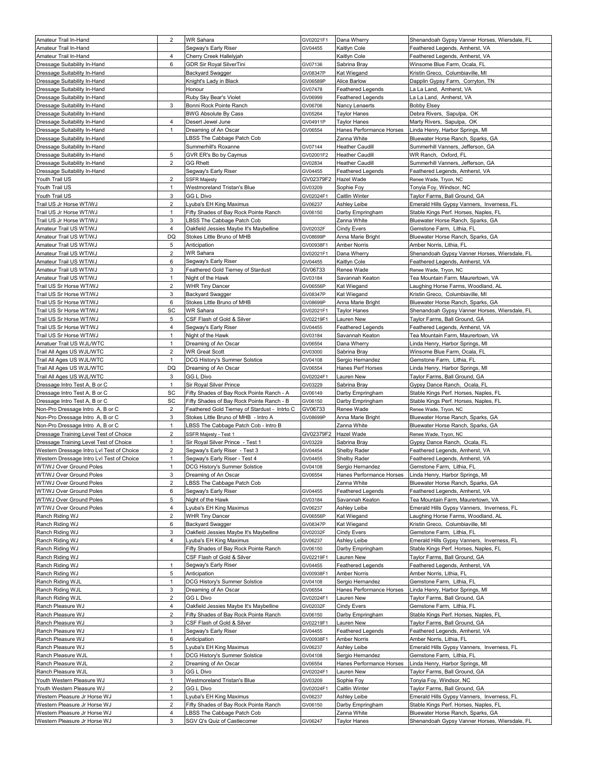| Amateur Trail In-Hand                                        | 2                 | <b>WR Sahara</b>                                          | GV02021F1            | Dana Wherry                            | Shenandoah Gypsy Vanner Horses, Wiersdale, FL                                      |
|--------------------------------------------------------------|-------------------|-----------------------------------------------------------|----------------------|----------------------------------------|------------------------------------------------------------------------------------|
| Amateur Trail In-Hand                                        |                   | Segway's Early Riser                                      | GV04455              | Kaitlyn Cole                           | Feathered Legends, Amherst, VA                                                     |
| Amateur Trail In-Hand                                        | 4                 | Cherry Creek Hallelyjah                                   |                      | Kaitlyn Cole                           | Feathered Legends, Amherst, VA                                                     |
| Dressage Suitability In-Hand                                 | 6                 | GDR Sir Royal SilverTini                                  | GV07136              | Sabrina Bray                           | Winsome Blue Farm, Ocala, FL                                                       |
| Dressage Suitability In-Hand                                 |                   | Backyard Swagger                                          | GV08347P             | Kat Wiegand                            | Kristin Greco, Columbiaville, MI                                                   |
| Dressage Suitability In-Hand                                 |                   | Knight's Lady in Black                                    | GV06589P             | Alice Barlow                           | Dapplin Gypsy Farm,  Corryton, TN                                                  |
| Dressage Suitability In-Hand                                 |                   | Honour                                                    | GV07478              | <b>Feathered Legends</b>               | La La Land, Amherst, VA                                                            |
| Dressage Suitability In-Hand                                 |                   | Ruby Sky Bear's Violet                                    | GV06999              | Feathered Legends                      | La La Land,  Amherst, VA.                                                          |
| Dressage Suitability In-Hand                                 | 3                 | Bonni Rock Pointe Ranch                                   | GV06706              | Nancy Lenaerts                         | <b>Bobby Elsey</b>                                                                 |
| Dressage Suitability In-Hand                                 |                   | <b>BWG Absolute By Cass</b>                               | GV05264              | <b>Taylor Hanes</b>                    | Debra Rivers, Sapulpa, OK                                                          |
| Dressage Suitability In-Hand                                 | 4                 | Desert Jewel June                                         | GV04911P             | <b>Taylor Hanes</b>                    | Marty Rivers, Sapulpa, OK                                                          |
| Dressage Suitability In-Hand                                 | 1                 | Dreaming of An Oscar                                      | GV06554              | Hanes Performance Horses               | Linda Henry, Harbor Springs, MI                                                    |
| Dressage Suitability In-Hand                                 |                   | LBSS The Cabbage Patch Cob                                |                      | Zanna White                            | Bluewater Horse Ranch, Sparks, GA                                                  |
| Dressage Suitability In-Hand                                 |                   | Summerhill's Roxanne                                      | GV07144              | <b>Heather Caudill</b>                 | Summerhill Vanners, Jefferson, GA                                                  |
|                                                              | 5                 | GVR ER's Bo by Caymus                                     | GV02001F2            | <b>Heather Caudill</b>                 | WR Ranch, Oxford, FL                                                               |
| Dressage Suitability In-Hand<br>Dressage Suitability In-Hand | 2                 |                                                           |                      | <b>Heather Caudill</b>                 |                                                                                    |
| Dressage Suitability In-Hand                                 |                   | <b>GG Rhett</b>                                           | GV02834              |                                        | Summerhill Vanners, Jefferson, GA                                                  |
|                                                              |                   | Segway's Early Riser                                      | GV04455              | <b>Feathered Legends</b>               | Feathered Legends, Amherst, VA                                                     |
| Youth Trail US                                               | 2                 | <b>SSFR Majesty</b>                                       | GV02379F2            | Hazel Wade                             | Renee Wade, Tryon, NC                                                              |
| Youth Trail US                                               | $\mathbf{1}$      | Westmoreland Tristan's Blue                               | GV03209              | Sophie Foy                             | Tonyia Foy, Windsor, NC                                                            |
| Youth Trail US                                               | 3                 | GG L Divo                                                 | GV02024F1            | Caitlin Winter                         | Taylor Farms, Ball Ground, GA                                                      |
| Trail US Jr Horse WT/WJ                                      | $\overline{2}$    | Lyuba's EH King Maximus                                   | GV06237              | Ashley Leibe                           | Emerald Hills Gypsy Vanners, Inverness, FL                                         |
| Trail US Jr Horse WT/WJ                                      | $\mathbf{1}$      | Fifty Shades of Bay Rock Pointe Ranch                     | GV06150              | Darby Empringham                       | Stable Kings Perf. Horses, Naples, FL                                              |
| Trail US Jr Horse WT/WJ                                      | 3                 | LBSS The Cabbage Patch Cob                                |                      | Zanna White                            | Bluewater Horse Ranch, Sparks, GA                                                  |
| Amateur Trail US WT/WJ                                       | 4                 | Oakfield Jessies Maybe It's Maybelline                    | GV02032F             | Cindy Evers                            | Gemstone Farm, Lithia, FL                                                          |
| Amateur Trail US WT/WJ                                       | DQ                | Stokes Little Bruno of MHB                                | GV08699P             | Anna Marie Bright                      | Bluewater Horse Ranch, Sparks, GA                                                  |
| Amateur Trail US WT/WJ                                       | 5                 | Anticipation                                              | GV00938F1            | <b>Amber Norris</b>                    | Amber Norris, Lithia, FL                                                           |
| Amateur Trail US WT/WJ                                       | $\overline{2}$    | WR Sahara                                                 | GV02021F1            | Dana Wherry                            | Shenandoah Gypsy Vanner Horses, Wiersdale, FL                                      |
| Amateur Trail US WT/WJ                                       | 6                 | Segway's Early Riser                                      | GV04455              | Kaitlyn Cole                           | Feathered Legends, Amherst, VA                                                     |
| Amateur Trail US WT/WJ                                       | 3                 | Feathered Gold Tierney of Stardust                        | GV06733              | Renee Wade                             | Renee Wade, Tryon, NC                                                              |
| Amateur Trail US WT/WJ                                       | 1                 | Night of the Hawk                                         | GV03184              | Savannah Keaton                        | Tea Mountain Farm, Maurertown, VA                                                  |
| Trail US Sr Horse WT/WJ                                      | $\overline{2}$    | <b>WHR Tiny Dancer</b>                                    | GV06556P             | Kat Wiegand                            | Laughing Horse Farms, Woodland, AL                                                 |
| Trail US Sr Horse WT/WJ                                      | 3                 | Backyard Swagger                                          | GV08347P             | Kat Wiegand                            | Kristin Greco, Columbiaville, MI                                                   |
| Trail US Sr Horse WT/WJ                                      | 6                 | Stokes Little Bruno of MHB                                | GV08699P             | Anna Marie Bright                      | Bluewater Horse Ranch, Sparks, GA                                                  |
| Trail US Sr Horse WT/WJ                                      | SC                | WR Sahara                                                 | GV02021F1            | <b>Taylor Hanes</b>                    | Shenandoah Gypsy Vanner Horses, Wiersdale, FL                                      |
| Trail US Sr Horse WT/WJ                                      | 5                 | CSF Flash of Gold & Silver                                | GV02219F1            | Lauren New                             | Taylor Farms, Ball Ground, GA                                                      |
| Trail US Sr Horse WT/WJ                                      | 4                 | Segway's Early Riser                                      | GV04455              | <b>Feathered Legends</b>               | Feathered Legends, Amherst, VA                                                     |
| Trail US Sr Horse WT/WJ                                      | 1                 | Night of the Hawk                                         | GV03184              | Savannah Keaton                        | Tea Mountain Farm, Maurertown, VA                                                  |
| Amatuer Trail US WJL/WTC                                     | $\mathbf{1}$      | Dreaming of An Oscar                                      | GV06554              | Dana Wherry                            | inda Henry, Harbor Springs, MI.                                                    |
| Trail All Ages US WJL/WTC                                    | $\overline{c}$    | <b>WR Great Scott</b>                                     | GV03000              | Sabrina Bray                           | Winsome Blue Farm, Ocala, FL                                                       |
| Trail All Ages US WJL/WTC                                    | $\mathbf{1}$      | DCG History's Summer Solstice                             | GV04108              | Sergio Hernandez                       | Gemstone Farm, Lithia, FL                                                          |
|                                                              | DQ                |                                                           |                      |                                        |                                                                                    |
| Trail All Ages US WJL/WTC                                    | 3                 | Dreaming of An Oscar<br>GG L Divo                         | GV06554<br>GV02024F1 | Hanes Perf Horses<br>Lauren New        | Linda Henry, Harbor Springs, MI                                                    |
|                                                              |                   |                                                           |                      |                                        |                                                                                    |
| Trail All Ages US WJL/WTC                                    |                   |                                                           |                      |                                        | Taylor Farms, Ball Ground, GA                                                      |
| Dressage Intro Test A, B or C                                | $\mathbf{1}$      | Sir Royal Silver Prince                                   | GV03229              | Sabrina Bray                           | Gypsy Dance Ranch, Ocala, FL                                                       |
| Dressage Intro Test A, B or C                                | SC                | Fifty Shades of Bay Rock Pointe Ranch - A                 | GV06149              | Darby Empringham                       | Stable Kings Perf. Horses, Naples, FL                                              |
| Dressage Intro Test A, B or C                                | SC                | Fifty Shades of Bay Rock Pointe Ranch - B                 | GV06150              | Darby Empringham                       | Stable Kings Perf. Horses, Naples, FL                                              |
| Non-Pro Dressage Intro A, B or C                             | $\overline{2}$    | Feathered Gold Tierney of Stardust - Intrto C             | GV06733              | Renee Wade                             | Renee Wade, Tryon, NC                                                              |
| Non-Pro Dressage Intro A, B or C                             | 3                 | Stokes Little Bruno of MHB - Intro A                      | GV08699P             | Anna Marie Bright                      | Bluewater Horse Ranch, Sparks, GA                                                  |
| Non-Pro Dressage Intro A, B or C                             | $\mathbf{1}$      | LBSS The Cabbage Patch Cob - Intro B                      |                      | Zanna White                            | Bluewater Horse Ranch, Sparks, GA                                                  |
| Dressage Training Level Test of Choice                       | 2                 | SSFR Majesty - Test 1                                     | GV02379F2            | Hazel Wade                             | Renee Wade, Tryon, NC                                                              |
| Dressage Training Level Test of Choice                       | 1                 | Sir Royal Silver Prince - Test 1                          | GV03229              | Sabrina Bray                           | Gypsy Dance Ranch, Ocala, FL                                                       |
| Western Dressage Intro LvI Test of Choice                    | 2                 | Segway's Early Riser - Test 3                             | GV04454              | Shelby Rader                           | Feathered Legends, Amherst, VA                                                     |
| Western Dressage Intro Lvl Test of Choice                    | $\mathbf{1}$      | Segway's Early Riser - Test 4                             | GV04455              | Shelby Rader                           | Feathered Legends, Amherst, VA                                                     |
| WT/WJ Over Ground Poles                                      | $\mathbf{1}$      | DCG History's Summer Solstice                             | GV04108              | Sergio Hernandez                       | Gemstone Farm, Lithia, FL                                                          |
| WT/WJ Over Ground Poles                                      | 3                 | Dreaming of An Oscar                                      | GV06554              | Hanes Performance Horses               | Linda Henry, Harbor Springs, MI                                                    |
| WT/WJ Over Ground Poles                                      | $\overline{2}$    | BSS The Cabbage Patch Cob                                 |                      | Zanna White                            | Bluewater Horse Ranch, Sparks, GA                                                  |
| WT/WJ Over Ground Poles                                      | 6                 | Segway's Early Riser                                      | GV04455              | Feathered Legends                      | Feathered Legends, Amherst, VA                                                     |
| WT/WJ Over Ground Poles                                      | 5                 | Night of the Hawk                                         | GV03184              | Savannah Keaton                        | Tea Mountain Farm, Maurertown, VA                                                  |
| WT/WJ Over Ground Poles                                      | 4                 | Lyuba's EH King Maximus                                   | GV06237              | Ashley Leibe                           | Emerald Hills Gypsy Vanners, Inverness, FL                                         |
| Ranch Riding WJ                                              | $\overline{2}$    | <b>WHR Tiny Dancer</b>                                    | GV06556P             | Kat Wiegand                            | Laughing Horse Farms, Woodland, AL                                                 |
| Ranch Riding WJ                                              | 6                 | <b>Backyard Swagger</b>                                   | GV08347P             | Kat Wiegand                            | Kristin Greco, Columbiaville, MI                                                   |
| Ranch Riding WJ                                              | 3                 | Oakfield Jessies Maybe It's Maybelline                    | GV02032F             | <b>Cindy Evers</b>                     | Gemstone Farm, Lithia, FL                                                          |
| Ranch Riding WJ                                              | 4                 | Lyuba's EH King Maximus                                   | GV06237              | Ashley Leibe                           | Emerald Hills Gypsy Vanners, Inverness, FL                                         |
| Ranch Riding WJ                                              |                   | Fifty Shades of Bay Rock Pointe Ranch                     | GV06150              | Darby Empringham                       | Stable Kings Perf. Horses, Naples, FL                                              |
| Ranch Riding WJ                                              |                   | CSF Flash of Gold & Silver                                | GV02219F1            | Lauren New                             | Taylor Farms, Ball Ground, GA                                                      |
| Ranch Riding WJ                                              | $\mathbf{1}$      | Segway's Early Riser                                      | GV04455              | Feathered Legends                      | Feathered Legends, Amherst, VA                                                     |
|                                                              |                   | Anticipation                                              |                      |                                        | Amber Norris, Lithia, FL                                                           |
| Ranch Riding WJ<br>Ranch Riding WJL                          | 5<br>$\mathbf{1}$ | DCG History's Summer Solstice                             | GV00938F1<br>GV04108 | Amber Norris<br>Sergio Hernandez       | Gemstone Farm, Lithia, FL                                                          |
|                                                              | 3                 |                                                           |                      |                                        |                                                                                    |
| Ranch Riding WJL                                             | $\overline{2}$    | Dreaming of An Oscar<br>GG L Divo                         | GV06554<br>GV02024F1 | Hanes Performance Horses<br>Lauren New | Linda Henry, Harbor Springs, MI                                                    |
| Ranch Riding WJL<br>Ranch Pleasure WJ                        | $\overline{4}$    | Oakfield Jessies Maybe It's Maybelline                    | GV02032F             | <b>Cindy Evers</b>                     | Taylor Farms, Ball Ground, GA                                                      |
|                                                              | 2                 |                                                           |                      |                                        | Gemstone Farm, Lithia, FL                                                          |
| Ranch Pleasure WJ                                            |                   | Fifty Shades of Bay Rock Pointe Ranch                     | GV06150              | Darby Empringham                       | Stable Kings Perf. Horses, Naples, FL                                              |
| Ranch Pleasure WJ                                            | 3                 | CSF Flash of Gold & Silver                                | GV02219F1            | Lauren New                             | Taylor Farms, Ball Ground, GA                                                      |
| Ranch Pleasure WJ                                            | $\mathbf{1}$      | Segway's Early Riser                                      | GV04455              | <b>Feathered Legends</b>               | Feathered Legends, Amherst, VA                                                     |
| Ranch Pleasure WJ                                            | 6                 | Anticipation                                              | GV00938F1            | Amber Norris                           | Amber Norris, Lithia, FL                                                           |
| Ranch Pleasure WJ                                            | 5                 | Lyuba's EH King Maximus                                   | GV06237              | Ashley Leibe                           | Emerald Hills Gypsy Vanners, Inverness, FL                                         |
| Ranch Pleasure WJL                                           | $\mathbf{1}$      | DCG History's Summer Solstice                             | GV04108              | Sergio Hernandez                       | Gemstone Farm, Lithia, FL                                                          |
| Ranch Pleasure WJL                                           | $\overline{c}$    | Dreaming of An Oscar                                      | GV06554              | Hanes Performance Horses               | Linda Henry, Harbor Springs, MI                                                    |
| Ranch Pleasure WJL                                           | 3                 | GG L Divo                                                 | GV02024F1            | Lauren New                             | Taylor Farms, Ball Ground, GA                                                      |
| Youth Western Pleasure WJ                                    | $\mathbf{1}$      | Westmoreland Tristan's Blue                               | GV03209              | Sophie Foy                             | Tonyia Foy, Windsor, NC                                                            |
| Youth Western Pleasure WJ                                    | 2                 | GG L Divo                                                 | GV02024F1            | <b>Caitlin Winter</b>                  | Taylor Farms, Ball Ground, GA                                                      |
| Western Pleasure Jr Horse WJ                                 | -1                | Lyuba's EH King Maximus                                   | GV06237              | Ashley Leibe                           | Emerald Hills Gypsy Vanners, Inverness, FL                                         |
| Western Pleasure Jr Horse WJ                                 | 2                 | Fifty Shades of Bay Rock Pointe Ranch                     | GV06150              | Darby Empringham                       | Stable Kings Perf. Horses, Naples, FL                                              |
| Western Pleasure Jr Horse WJ<br>Western Pleasure Jr Horse WJ | 4<br>3            | LBSS The Cabbage Patch Cob<br>SGV Q's Quiz of Castlecomer | GV06247              | Zanna White<br><b>Taylor Hanes</b>     | Bluewater Horse Ranch, Sparks, GA<br>Shenandoah Gypsy Vanner Horses, Wiersdale, FL |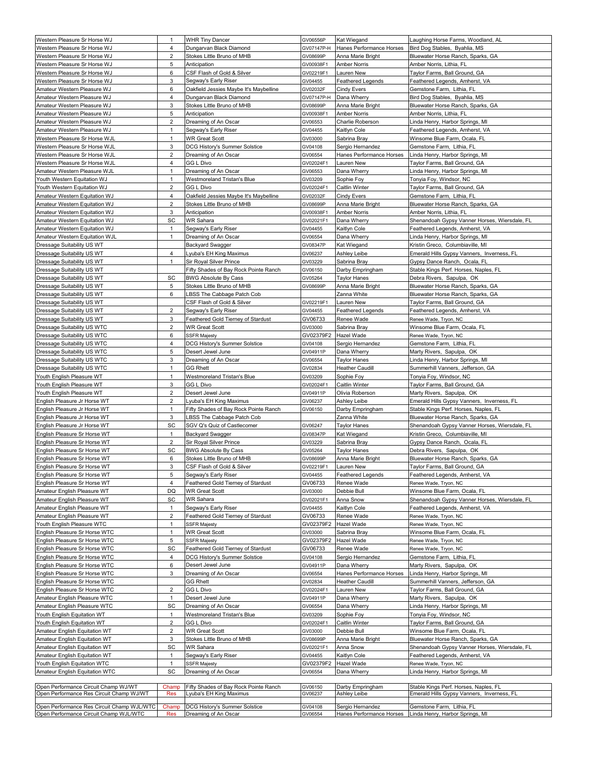| Western Pleasure Sr Horse WJ               | $\mathbf{1}$            | <b>WHR Tiny Dancer</b>                 | GV06556P   | Kat Wiegand              | Laughing Horse Farms, Woodland, AL            |
|--------------------------------------------|-------------------------|----------------------------------------|------------|--------------------------|-----------------------------------------------|
| Western Pleasure Sr Horse WJ               | 4                       | Dungarvan Black Diamond                | GV07147P-H | Hanes Performance Horses | Bird Dog Stables, Byahlia, MS                 |
| Western Pleasure Sr Horse WJ               | $\overline{c}$          | Stokes Little Bruno of MHB             | GV08699P   | Anna Marie Bright        | Bluewater Horse Ranch, Sparks, GA             |
| Western Pleasure Sr Horse WJ               | 5                       | Anticipation                           | GV00938F1  | <b>Amber Norris</b>      | Amber Norris, Lithia, FL                      |
| Western Pleasure Sr Horse WJ               | 6                       | CSF Flash of Gold & Silver             | GV02219F1  | Lauren New               | Taylor Farms, Ball Ground, GA                 |
| Western Pleasure Sr Horse WJ               | 3                       | Segway's Early Riser                   | GV04455    | Feathered Legends        | Feathered Legends, Amherst, VA                |
| Amateur Western Pleasure WJ                | 6                       | Oakfield Jessies Maybe It's Maybelline | GV02032F   | <b>Cindy Evers</b>       | Gemstone Farm, Lithia, FL                     |
| Amateur Western Pleasure WJ                | 4                       | Dungarvan Black Diamond                | GV07147P-H | Dana Wherry              | Bird Dog Stables, Byahlia, MS                 |
| Amateur Western Pleasure WJ                | 3                       | Stokes Little Bruno of MHB             | GV08699P   | Anna Marie Bright        | Bluewater Horse Ranch, Sparks, GA             |
| Amateur Western Pleasure WJ                | 5                       | Anticipation                           | GV00938F1  | <b>Amber Norris</b>      | Amber Norris, Lithia, FL                      |
| Amateur Western Pleasure WJ                | $\overline{c}$          | Dreaming of An Oscar                   | GV06553    | Charlie Roberson         | Linda Henry, Harbor Springs, MI               |
| Amateur Western Pleasure WJ                | $\mathbf{1}$            | Segway's Early Riser                   | GV04455    | Kaitlyn Cole             | Feathered Legends, Amherst, VA                |
| Western Pleasure Sr Horse WJL              | $\mathbf{1}$            | <b>WR Great Scott</b>                  | GV03000    | Sabrina Bray             | Winsome Blue Farm, Ocala, FL                  |
| Western Pleasure Sr Horse WJL              | 3                       | DCG History's Summer Solstice          | GV04108    | Sergio Hernandez         | Gemstone Farm, Lithia, FL                     |
| Western Pleasure Sr Horse WJL              | 2                       | Dreaming of An Oscar                   | GV06554    | Hanes Performance Horses | Linda Henry, Harbor Springs, MI               |
| Western Pleasure Sr Horse WJL              | 4                       | GG L Divo                              | GV02024F1  | Lauren New               | Taylor Farms, Ball Ground, GA                 |
| Amateur Western Pleasure WJL               | $\mathbf{1}$            | Dreaming of An Oscar                   | GV06553    | Dana Wherry              | Linda Henry, Harbor Springs, MI               |
| Youth Western Equitation WJ                | $\mathbf{1}$            | Westmoreland Tristan's Blue            | GV03209    | Sophie Foy               | Tonyia Foy, Windsor, NC                       |
| Youth Western Equitation WJ                | 2                       | GG L Divo                              | GV02024F1  | Caitlin Winter           | Taylor Farms, Ball Ground, GA                 |
| Amateur Western Equitation WJ              | 4                       | Oakfield Jessies Maybe It's Maybelline | GV02032F   | <b>Cindy Evers</b>       | Gemstone Farm, Lithia, FL                     |
| Amateur Western Equitation WJ              | 2                       | Stokes Little Bruno of MHB             | GV08699P   | Anna Marie Bright        | Bluewater Horse Ranch, Sparks, GA             |
| Amateur Western Equitation WJ              | 3                       | Anticipation                           | GV00938F1  | <b>Amber Norris</b>      | Amber Norris, Lithia, FL                      |
| Amateur Western Equitation WJ              | SC                      | WR Sahara                              | GV02021F1  | Dana Wherry              | Shenandoah Gypsy Vanner Horses, Wiersdale, FL |
| Amateur Western Equitation WJ              | $\mathbf{1}$            | Segway's Early Riser                   | GV04455    | Kaitlyn Cole             | Feathered Legends, Amherst, VA                |
| Amateur Western Equitation WJL             | $\mathbf{1}$            | Dreaming of An Oscar                   | GV06554    | Dana Wherry              | Linda Henry, Harbor Springs, MI               |
| Dressage Suitability US WT                 |                         | Backyard Swagger                       | GV08347P   | Kat Wiegand              | Kristin Greco, Columbiaville, MI              |
| Dressage Suitability US WT                 | 4                       | Lyuba's EH King Maximus                | GV06237    | Ashley Leibe             | Emerald Hills Gypsy Vanners, Inverness, FL    |
| Dressage Suitability US WT                 | $\mathbf{1}$            | Sir Royal Silver Prince                | GV03229    | Sabrina Bray             | Gypsy Dance Ranch,  Ocala, FL                 |
| Dressage Suitability US WT                 |                         | Fifty Shades of Bay Rock Pointe Ranch  | GV06150    | Darby Empringham         | Stable Kings Perf. Horses, Naples, FL         |
| Dressage Suitability US WT                 | SC                      | <b>BWG Absolute By Cass</b>            | GV05264    | <b>Taylor Hanes</b>      | Debra Rivers, Sapulpa, OK                     |
| Dressage Suitability US WT                 | 5                       | Stokes Little Bruno of MHB             | GV08699P   | Anna Marie Bright        | Bluewater Horse Ranch, Sparks, GA             |
| Dressage Suitability US WT                 | 6                       | LBSS The Cabbage Patch Cob             |            | Zanna White              | Bluewater Horse Ranch, Sparks, GA             |
| Dressage Suitability US WT                 |                         | CSF Flash of Gold & Silver             | GV02219F1  | Lauren New               | Taylor Farms, Ball Ground, GA                 |
| Dressage Suitability US WT                 | $\overline{\mathbf{c}}$ | Segway's Early Riser                   | GV04455    | Feathered Legends        | Feathered Legends, Amherst, VA                |
| Dressage Suitability US WT                 | 3                       | Feathered Gold Tierney of Stardust     | GV06733    | Renee Wade               | Renee Wade, Tryon, NC                         |
| Dressage Suitability US WTC                | $\overline{c}$          | <b>WR Great Scott</b>                  | GV03000    | Sabrina Bray             | Winsome Blue Farm, Ocala, FL                  |
| Dressage Suitability US WTC                | 6                       | <b>SSFR Majesty</b>                    | GV02379F2  | Hazel Wade               | Renee Wade, Tryon, NC                         |
| Dressage Suitability US WTC                | 4                       | DCG History's Summer Solstice          | GV04108    | Sergio Hernandez         | Gemstone Farm, Lithia, FL                     |
| Dressage Suitability US WTC                | 5                       | Desert Jewel June                      | GV04911P   | Dana Wherry              | Marty Rivers, Sapulpa, OK                     |
| Dressage Suitability US WTC                | 3                       | Dreaming of An Oscar                   | GV06554    | <b>Taylor Hanes</b>      | inda Henry, Harbor Springs, MIL               |
| Dressage Suitability US WTC                | $\mathbf{1}$            | <b>GG Rhett</b>                        | GV02834    | <b>Heather Caudill</b>   | Summerhill Vanners, Jefferson, GA             |
|                                            |                         |                                        |            |                          |                                               |
| Youth English Pleasure WT                  | $\mathbf{1}$            | Westmoreland Tristan's Blue            | GV03209    | Sophie Foy               | Tonyia Foy, Windsor, NC                       |
| Youth English Pleasure WT                  | 3                       | GG L Divo                              | GV02024F1  | Caitlin Winter           | Taylor Farms, Ball Ground, GA                 |
| Youth English Pleasure WT                  | 2                       | Desert Jewel June                      | GV04911P   | Olivia Roberson          | Marty Rivers, Sapulpa, OK                     |
| English Pleasure Jr Horse WT               | 2                       | yuba's EH King Maximus_                | GV06237    | Ashley Leibe             | Emerald Hills Gypsy Vanners, Inverness, FL    |
| English Pleasure Jr Horse WT               | $\mathbf{1}$            | Fifty Shades of Bay Rock Pointe Ranch  | GV06150    | Darby Empringham         | Stable Kings Perf. Horses, Naples, FL         |
| English Pleasure Jr Horse WT               | 3                       | BSS The Cabbage Patch Cob              |            | Zanna White              | Bluewater Horse Ranch, Sparks, GA             |
| English Pleasure Jr Horse WT               | SC                      | SGV Q's Quiz of Castlecomer            | GV06247    | <b>Taylor Hanes</b>      | Shenandoah Gypsy Vanner Horses, Wiersdale, FL |
| English Pleasure Sr Horse WT               | $\mathbf{1}$            | Backyard Swagger                       | GV08347P   | Kat Wiegand              | Kristin Greco, Columbiaville, MI              |
| English Pleasure Sr Horse WT               | 2                       | Sir Royal Silver Prince                | GV03229    | Sabrina Bray             | Gypsy Dance Ranch, Ocala, FL                  |
| English Pleasure Sr Horse WT               | SC                      | <b>BWG Absolute By Cass</b>            | GV05264    | <b>Taylor Hanes</b>      | Debra Rivers, Sapulpa, OK                     |
| English Pleasure Sr Horse WT               | 6                       | Stokes Little Bruno of MHB             | GV08699P   | Anna Marie Bright        | Bluewater Horse Ranch, Sparks, GA             |
| English Pleasure Sr Horse WT               | 3                       | CSF Flash of Gold & Silver             | GV02219F1  | Lauren New               | Taylor Farms, Ball Ground, GA                 |
| English Pleasure Sr Horse WT               | 5                       | Segway's Early Riser                   | GV04455    | <b>Feathered Legends</b> | Feathered Legends, Amherst, VA                |
| English Pleasure Sr Horse WT               | $\overline{4}$          | Feathered Gold Tierney of Stardust     | GV06733    | Renee Wade               | Renee Wade, Tryon, NC                         |
| Amateur English Pleasure WT                | DQ                      | WR Great Scott                         | GV03000    | Debbie Bull              | Winsome Blue Farm, Ocala, FL                  |
| Amateur English Pleasure WT                | SC                      | WR Sahara                              | GV02021F1  | Anna Snow                | Shenandoah Gypsy Vanner Horses, Wiersdale, FL |
| Amateur English Pleasure WT                | 1                       | Segway's Early Riser                   | GV04455    | Kaitlyn Cole             | Feathered Legends, Amherst, VA                |
| Amateur English Pleasure WT                | $\overline{c}$          | Feathered Gold Tierney of Stardust     | GV06733    | Renee Wade               | Renee Wade, Tryon, NC                         |
| Youth English Pleasure WTC                 | $\mathbf{1}$            | <b>SSFR Majesty</b>                    | GV02379F2  | Hazel Wade               | Renee Wade, Tryon, NC                         |
| English Pleasure Sr Horse WTC              | $\mathbf{1}$            | <b>WR Great Scott</b>                  | GV03000    | Sabrina Bray             | Winsome Blue Farm, Ocala, FL                  |
| English Pleasure Sr Horse WTC              | 5                       | <b>SSFR Majesty</b>                    | GV02379F2  | Hazel Wade               | Renee Wade, Tryon, NC                         |
| English Pleasure Sr Horse WTC              | SC                      | Feathered Gold Tierney of Stardust     | GV06733    | Renee Wade               | Renee Wade, Tryon, NC                         |
| English Pleasure Sr Horse WTC              | 4                       | DCG History's Summer Solstice          | GV04108    | Sergio Hernandez         | Gemstone Farm, Lithia, FL                     |
| English Pleasure Sr Horse WTC              | 6                       | Desert Jewel June                      | GV04911P   | Dana Wherry              | Marty Rivers, Sapulpa, OK                     |
| English Pleasure Sr Horse WTC              | 3                       | Dreaming of An Oscar                   | GV06554    | Hanes Performance Horses | Linda Henry, Harbor Springs, MI               |
| English Pleasure Sr Horse WTC              |                         | <b>GG Rhett</b>                        | GV02834    | <b>Heather Caudill</b>   | Summerhill Vanners, Jefferson, GA             |
| English Pleasure Sr Horse WTC              | $\overline{c}$          | GG L Divo                              | GV02024F1  | Lauren New               | Taylor Farms, Ball Ground, GA                 |
| Amateur English Pleasure WTC               | $\mathbf{1}$            | Desert Jewel June                      | GV04911P   | Dana Wherry              | Marty Rivers, Sapulpa, OK                     |
| Amateur English Pleasure WTC               | SC                      | Dreaming of An Oscar                   | GV06554    | Dana Wherry              | Linda Henry, Harbor Springs, MI               |
| Youth English Equitation WT                | $\mathbf{1}$            | Westmoreland Tristan's Blue            | GV03209    | Sophie Foy               | Tonyia Foy, Windsor, NC                       |
| Youth English Equitation WT                | $\overline{\mathbf{c}}$ | GG L Divo                              | GV02024F1  | Caitlin Winter           | Taylor Farms, Ball Ground, GA                 |
| Amateur English Equitation WT              | $\boldsymbol{2}$        | <b>WR Great Scott</b>                  | GV03000    | Debbie Bull              | Winsome Blue Farm, Ocala, FL                  |
| Amateur English Equitation WT              | 3                       | Stokes Little Bruno of MHB             | GV08699P   | Anna Marie Bright        | Bluewater Horse Ranch, Sparks, GA             |
| Amateur English Equitation WT              | SC                      | /VR Sahara                             | GV02021F1  | Anna Snow                | Shenandoah Gypsy Vanner Horses, Wiersdale, FL |
| Amateur English Equitation WT              | $\mathbf{1}$            | Segway's Early Riser                   | GV04455    | Kaitlyn Cole             | Feathered Legends, Amherst, VA                |
| Youth English Equitation WTC               | $\mathbf{1}$            | <b>SSFR Majesty</b>                    | GV02379F2  | Hazel Wade               | Renee Wade, Tryon, NC                         |
| Amateur English Equitation WTC             | SC                      | Dreaming of An Oscar                   | GV06554    | Dana Wherry              | Linda Henry, Harbor Springs, MI               |
|                                            |                         |                                        |            |                          |                                               |
| Open Performance Circuit Champ WJ/WT       | Champ                   | Fifty Shades of Bay Rock Pointe Ranch  | GV06150    | Darby Empringham         | Stable Kings Perf. Horses, Naples, FL         |
| Open Performance Res Circuit Champ WJ/WT   | Res                     | Lyuba's EH King Maximus                | GV06237    | Ashley Leibe             | Emerald Hills Gypsy Vanners, Inverness, FL    |
| Open Performance Res Circuit Champ WJL/WTC | Champ                   | DCG History's Summer Solstice          | GV04108    | Sergio Hernandez         | Gemstone Farm, Lithia, FL                     |